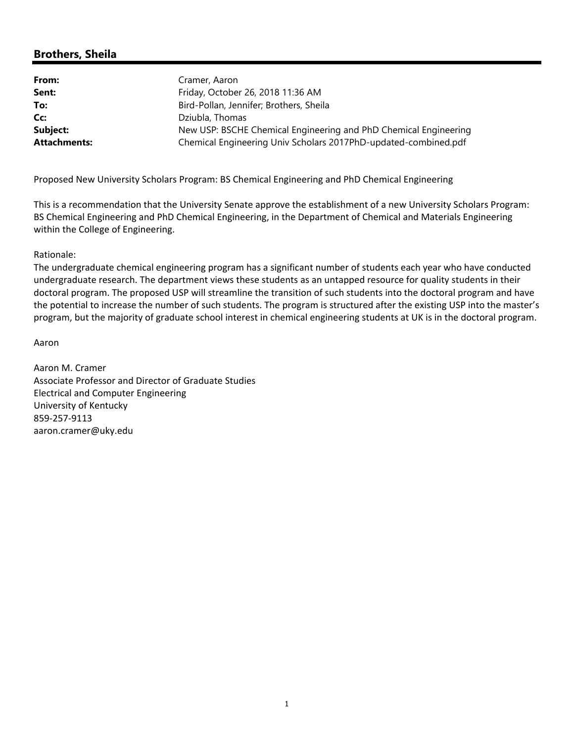## **Brothers, Sheila**

| From:               | Cramer, Aaron                                                    |
|---------------------|------------------------------------------------------------------|
| Sent:               | Friday, October 26, 2018 11:36 AM                                |
| To:                 | Bird-Pollan, Jennifer; Brothers, Sheila                          |
| Cc:                 | Dziubla, Thomas                                                  |
| Subject:            | New USP: BSCHE Chemical Engineering and PhD Chemical Engineering |
| <b>Attachments:</b> | Chemical Engineering Univ Scholars 2017PhD-updated-combined.pdf  |

Proposed New University Scholars Program: BS Chemical Engineering and PhD Chemical Engineering

This is a recommendation that the University Senate approve the establishment of a new University Scholars Program: BS Chemical Engineering and PhD Chemical Engineering, in the Department of Chemical and Materials Engineering within the College of Engineering.

Rationale:

The undergraduate chemical engineering program has a significant number of students each year who have conducted undergraduate research. The department views these students as an untapped resource for quality students in their doctoral program. The proposed USP will streamline the transition of such students into the doctoral program and have the potential to increase the number of such students. The program is structured after the existing USP into the master's program, but the majority of graduate school interest in chemical engineering students at UK is in the doctoral program.

Aaron

Aaron M. Cramer Associate Professor and Director of Graduate Studies Electrical and Computer Engineering University of Kentucky 859‐257‐9113 aaron.cramer@uky.edu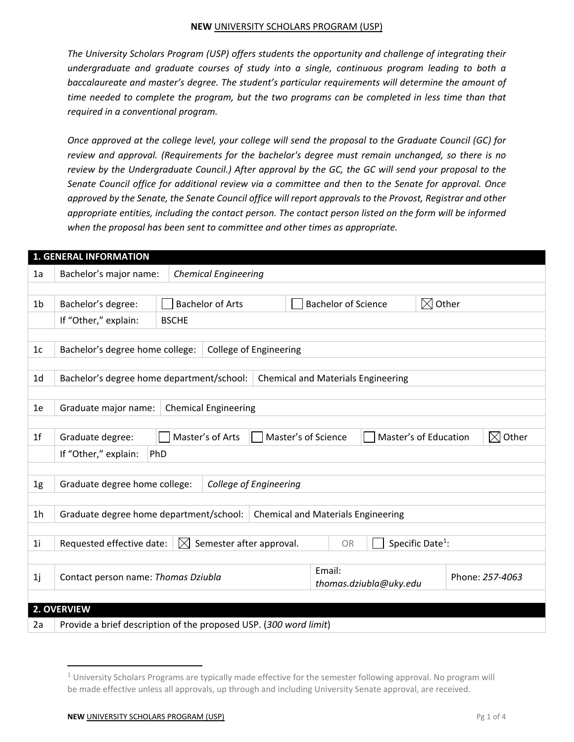*The University Scholars Program (USP) offers students the opportunity and challenge of integrating their undergraduate and graduate courses of study into a single, continuous program leading to both a baccalaureate and master's degree. The student's particular requirements will determine the amount of time needed to complete the program, but the two programs can be completed in less time than that required in a conventional program.* 

*Once approved at the college level, your college will send the proposal to the Graduate Council (GC) for review and approval. (Requirements for the bachelor's degree must remain unchanged, so there is no review by the Undergraduate Council.) After approval by the GC, the GC will send your proposal to the Senate Council office for additional review via a committee and then to the Senate for approval. Once approved by the Senate, the Senate Council office will report approvals to the Provost, Registrar and other appropriate entities, including the contact person. The contact person listed on the form will be informed when the proposal has been sent to committee and other times as appropriate.* 

|                | <b>1. GENERAL INFORMATION</b>                                                          |                             |                                                                                  |  |        |                            |                        |                              |  |
|----------------|----------------------------------------------------------------------------------------|-----------------------------|----------------------------------------------------------------------------------|--|--------|----------------------------|------------------------|------------------------------|--|
| 1a             | Bachelor's major name:                                                                 |                             | <b>Chemical Engineering</b>                                                      |  |        |                            |                        |                              |  |
|                |                                                                                        |                             |                                                                                  |  |        |                            |                        |                              |  |
| 1 <sub>b</sub> | Bachelor's degree:                                                                     |                             | <b>Bachelor of Arts</b>                                                          |  |        | <b>Bachelor of Science</b> |                        | $\boxtimes$ Other            |  |
|                | If "Other," explain:                                                                   | <b>BSCHE</b>                |                                                                                  |  |        |                            |                        |                              |  |
|                |                                                                                        |                             |                                                                                  |  |        |                            |                        |                              |  |
| 1 <sub>c</sub> | Bachelor's degree home college:                                                        |                             | <b>College of Engineering</b>                                                    |  |        |                            |                        |                              |  |
|                |                                                                                        |                             |                                                                                  |  |        |                            |                        |                              |  |
| 1 <sub>d</sub> | Bachelor's degree home department/school:<br><b>Chemical and Materials Engineering</b> |                             |                                                                                  |  |        |                            |                        |                              |  |
|                |                                                                                        |                             |                                                                                  |  |        |                            |                        |                              |  |
| 1e             | Graduate major name:                                                                   | <b>Chemical Engineering</b> |                                                                                  |  |        |                            |                        |                              |  |
|                |                                                                                        |                             |                                                                                  |  |        |                            |                        |                              |  |
| 1 <sup>f</sup> | Graduate degree:                                                                       |                             | Master's of Science<br>Master's of Education<br>Other<br>Master's of Arts<br>IХI |  |        |                            |                        |                              |  |
|                | If "Other," explain:                                                                   | PhD                         |                                                                                  |  |        |                            |                        |                              |  |
|                |                                                                                        |                             |                                                                                  |  |        |                            |                        |                              |  |
| 1g             | Graduate degree home college:<br>College of Engineering                                |                             |                                                                                  |  |        |                            |                        |                              |  |
|                |                                                                                        |                             |                                                                                  |  |        |                            |                        |                              |  |
| 1 <sub>h</sub> | Graduate degree home department/school:<br><b>Chemical and Materials Engineering</b>   |                             |                                                                                  |  |        |                            |                        |                              |  |
|                |                                                                                        |                             |                                                                                  |  |        |                            |                        |                              |  |
| 1i             | Requested effective date:                                                              | $\boxtimes$                 | Semester after approval.                                                         |  |        | <b>OR</b>                  |                        | Specific Date <sup>1</sup> : |  |
|                |                                                                                        |                             |                                                                                  |  |        |                            |                        |                              |  |
| 1j             | Contact person name: Thomas Dziubla                                                    |                             |                                                                                  |  | Email: |                            |                        | Phone: 257-4063              |  |
|                |                                                                                        |                             |                                                                                  |  |        |                            | thomas.dziubla@uky.edu |                              |  |
|                | 2. OVERVIEW                                                                            |                             |                                                                                  |  |        |                            |                        |                              |  |
|                |                                                                                        |                             |                                                                                  |  |        |                            |                        |                              |  |
| 2a             | Provide a brief description of the proposed USP. (300 word limit)                      |                             |                                                                                  |  |        |                            |                        |                              |  |

 $1$  University Scholars Programs are typically made effective for the semester following approval. No program will be made effective unless all approvals, up through and including University Senate approval, are received.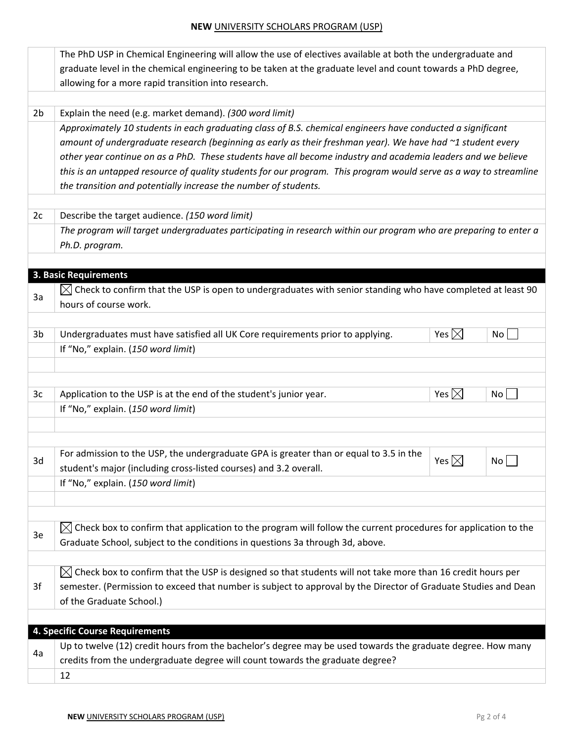|                | The PhD USP in Chemical Engineering will allow the use of electives available at both the undergraduate and<br>graduate level in the chemical engineering to be taken at the graduate level and count towards a PhD degree,<br>allowing for a more rapid transition into research.                                                                                                                                                                                                                                               |                 |                 |  |  |  |
|----------------|----------------------------------------------------------------------------------------------------------------------------------------------------------------------------------------------------------------------------------------------------------------------------------------------------------------------------------------------------------------------------------------------------------------------------------------------------------------------------------------------------------------------------------|-----------------|-----------------|--|--|--|
|                |                                                                                                                                                                                                                                                                                                                                                                                                                                                                                                                                  |                 |                 |  |  |  |
| 2 <sub>b</sub> | Explain the need (e.g. market demand). (300 word limit)                                                                                                                                                                                                                                                                                                                                                                                                                                                                          |                 |                 |  |  |  |
|                | Approximately 10 students in each graduating class of B.S. chemical engineers have conducted a significant<br>amount of undergraduate research (beginning as early as their freshman year). We have had ~1 student every<br>other year continue on as a PhD. These students have all become industry and academia leaders and we believe<br>this is an untapped resource of quality students for our program. This program would serve as a way to streamline<br>the transition and potentially increase the number of students. |                 |                 |  |  |  |
| 2c             | Describe the target audience. (150 word limit)                                                                                                                                                                                                                                                                                                                                                                                                                                                                                   |                 |                 |  |  |  |
|                | The program will target undergraduates participating in research within our program who are preparing to enter a<br>Ph.D. program.                                                                                                                                                                                                                                                                                                                                                                                               |                 |                 |  |  |  |
|                | 3. Basic Requirements                                                                                                                                                                                                                                                                                                                                                                                                                                                                                                            |                 |                 |  |  |  |
| За             | $\boxtimes$ Check to confirm that the USP is open to undergraduates with senior standing who have completed at least 90 $\,$<br>hours of course work.                                                                                                                                                                                                                                                                                                                                                                            |                 |                 |  |  |  |
| 3 <sub>b</sub> | Undergraduates must have satisfied all UK Core requirements prior to applying.                                                                                                                                                                                                                                                                                                                                                                                                                                                   | Yes $\boxtimes$ | No <sub>1</sub> |  |  |  |
|                | If "No," explain. (150 word limit)                                                                                                                                                                                                                                                                                                                                                                                                                                                                                               |                 |                 |  |  |  |
|                |                                                                                                                                                                                                                                                                                                                                                                                                                                                                                                                                  |                 |                 |  |  |  |
| 3c             | Application to the USP is at the end of the student's junior year.                                                                                                                                                                                                                                                                                                                                                                                                                                                               | Yes $\boxtimes$ | No              |  |  |  |
|                | If "No," explain. (150 word limit)                                                                                                                                                                                                                                                                                                                                                                                                                                                                                               |                 |                 |  |  |  |
| 3d             | For admission to the USP, the undergraduate GPA is greater than or equal to 3.5 in the<br>student's major (including cross-listed courses) and 3.2 overall.                                                                                                                                                                                                                                                                                                                                                                      | Yes $\boxtimes$ | No              |  |  |  |
|                | If "No," explain. (150 word limit)                                                                                                                                                                                                                                                                                                                                                                                                                                                                                               |                 |                 |  |  |  |
| 3e             | Check box to confirm that application to the program will follow the current procedures for application to the<br>$\boxtimes$<br>Graduate School, subject to the conditions in questions 3a through 3d, above.                                                                                                                                                                                                                                                                                                                   |                 |                 |  |  |  |
| 3f             | $\boxtimes$ Check box to confirm that the USP is designed so that students will not take more than 16 credit hours per<br>semester. (Permission to exceed that number is subject to approval by the Director of Graduate Studies and Dean<br>of the Graduate School.)                                                                                                                                                                                                                                                            |                 |                 |  |  |  |
|                |                                                                                                                                                                                                                                                                                                                                                                                                                                                                                                                                  |                 |                 |  |  |  |
|                | 4. Specific Course Requirements                                                                                                                                                                                                                                                                                                                                                                                                                                                                                                  |                 |                 |  |  |  |
| 4a             | Up to twelve (12) credit hours from the bachelor's degree may be used towards the graduate degree. How many<br>credits from the undergraduate degree will count towards the graduate degree?                                                                                                                                                                                                                                                                                                                                     |                 |                 |  |  |  |
|                | 12                                                                                                                                                                                                                                                                                                                                                                                                                                                                                                                               |                 |                 |  |  |  |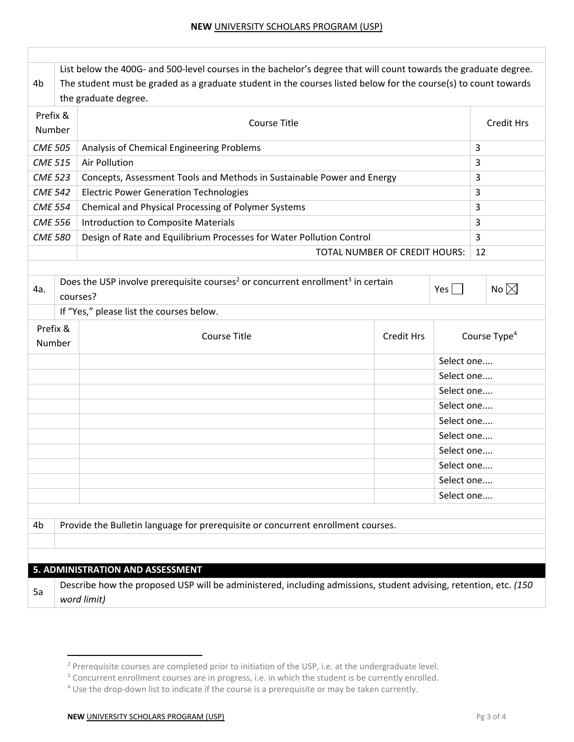| 4b                 | The student must be graded as a graduate student in the courses listed below for the course(s) to count towards<br>the graduate degree.                                      |            |            |                          |  |  |
|--------------------|------------------------------------------------------------------------------------------------------------------------------------------------------------------------------|------------|------------|--------------------------|--|--|
| Prefix &<br>Number | <b>Course Title</b>                                                                                                                                                          |            |            |                          |  |  |
| <b>CME 505</b>     | Analysis of Chemical Engineering Problems                                                                                                                                    |            |            |                          |  |  |
| <b>CME 515</b>     | Air Pollution                                                                                                                                                                |            |            |                          |  |  |
| <b>CME 523</b>     | Concepts, Assessment Tools and Methods in Sustainable Power and Energy<br>3                                                                                                  |            |            |                          |  |  |
| <b>CME 542</b>     | <b>Electric Power Generation Technologies</b>                                                                                                                                |            |            | 3                        |  |  |
| <b>CME 554</b>     | Chemical and Physical Processing of Polymer Systems                                                                                                                          |            |            |                          |  |  |
| <b>CME 556</b>     | Introduction to Composite Materials                                                                                                                                          |            |            | 3                        |  |  |
| <b>CME 580</b>     | Design of Rate and Equilibrium Processes for Water Pollution Control                                                                                                         |            |            | 3                        |  |  |
|                    | TOTAL NUMBER OF CREDIT HOURS:                                                                                                                                                |            |            | 12                       |  |  |
| 4a.                | Does the USP involve prerequisite courses <sup>2</sup> or concurrent enrollment <sup>3</sup> in certain<br>$Yes$    <br>courses?<br>If "Yes," please list the courses below. |            |            |                          |  |  |
| Prefix &<br>Number | <b>Course Title</b><br><b>Credit Hrs</b>                                                                                                                                     |            |            | Course Type <sup>4</sup> |  |  |
|                    |                                                                                                                                                                              | Select one |            |                          |  |  |
|                    |                                                                                                                                                                              |            | Select one |                          |  |  |
|                    |                                                                                                                                                                              |            | Select one |                          |  |  |
|                    |                                                                                                                                                                              |            | Select one |                          |  |  |
|                    |                                                                                                                                                                              |            | Select one |                          |  |  |
|                    |                                                                                                                                                                              |            | Select one |                          |  |  |
|                    |                                                                                                                                                                              |            | Select one |                          |  |  |
|                    |                                                                                                                                                                              |            | Select one |                          |  |  |
|                    |                                                                                                                                                                              |            | Select one |                          |  |  |
|                    |                                                                                                                                                                              |            | Select one |                          |  |  |
| 4b                 | Provide the Bulletin language for prerequisite or concurrent enrollment courses.                                                                                             |            |            |                          |  |  |
|                    | 5. ADMINISTRATION AND ASSESSMENT                                                                                                                                             |            |            |                          |  |  |
| 5a                 | Describe how the proposed USP will be administered, including admissions, student advising, retention, etc. (150<br>word limit)                                              |            |            |                          |  |  |

 2 Prerequisite courses are completed prior to initiation of the USP, i.e. at the undergraduate level.

 $3$  Concurrent enrollment courses are in progress, i.e. in which the student is be currently enrolled.

<sup>&</sup>lt;sup>4</sup> Use the drop-down list to indicate if the course is a prerequisite or may be taken currently.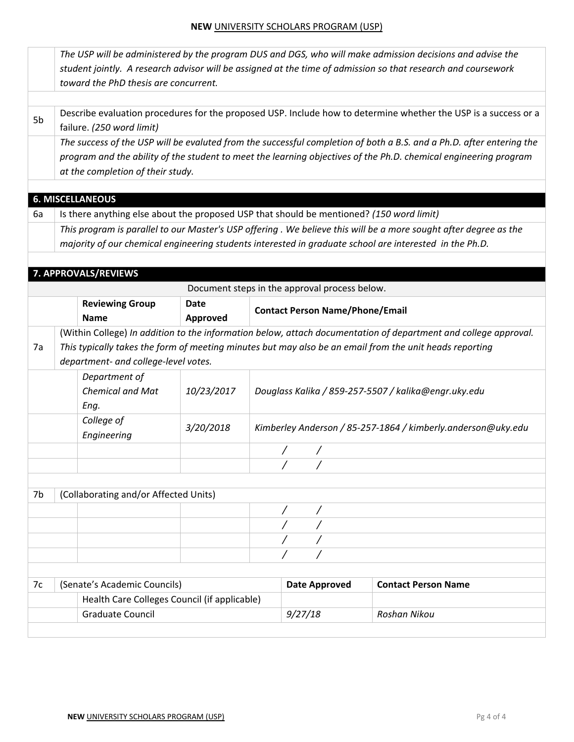|    | The USP will be administered by the program DUS and DGS, who will make admission decisions and advise the |             |                                        |                                               |                                                                                                                      |  |  |  |
|----|-----------------------------------------------------------------------------------------------------------|-------------|----------------------------------------|-----------------------------------------------|----------------------------------------------------------------------------------------------------------------------|--|--|--|
|    |                                                                                                           |             |                                        |                                               | student jointly. A research advisor will be assigned at the time of admission so that research and coursework        |  |  |  |
|    | toward the PhD thesis are concurrent.                                                                     |             |                                        |                                               |                                                                                                                      |  |  |  |
|    |                                                                                                           |             |                                        |                                               |                                                                                                                      |  |  |  |
| 5b |                                                                                                           |             |                                        |                                               | Describe evaluation procedures for the proposed USP. Include how to determine whether the USP is a success or a      |  |  |  |
|    | failure. (250 word limit)                                                                                 |             |                                        |                                               |                                                                                                                      |  |  |  |
|    |                                                                                                           |             |                                        |                                               | The success of the USP will be evaluted from the successful completion of both a B.S. and a Ph.D. after entering the |  |  |  |
|    |                                                                                                           |             |                                        |                                               | program and the ability of the student to meet the learning objectives of the Ph.D. chemical engineering program     |  |  |  |
|    | at the completion of their study.                                                                         |             |                                        |                                               |                                                                                                                      |  |  |  |
|    | <b>6. MISCELLANEOUS</b>                                                                                   |             |                                        |                                               |                                                                                                                      |  |  |  |
| 6a | Is there anything else about the proposed USP that should be mentioned? (150 word limit)                  |             |                                        |                                               |                                                                                                                      |  |  |  |
|    |                                                                                                           |             |                                        |                                               | This program is parallel to our Master's USP offering . We believe this will be a more sought after degree as the    |  |  |  |
|    |                                                                                                           |             |                                        |                                               | majority of our chemical engineering students interested in graduate school are interested in the Ph.D.              |  |  |  |
|    |                                                                                                           |             |                                        |                                               |                                                                                                                      |  |  |  |
|    | 7. APPROVALS/REVIEWS                                                                                      |             |                                        |                                               |                                                                                                                      |  |  |  |
|    |                                                                                                           |             |                                        | Document steps in the approval process below. |                                                                                                                      |  |  |  |
|    | <b>Reviewing Group</b>                                                                                    | <b>Date</b> |                                        |                                               |                                                                                                                      |  |  |  |
|    | <b>Name</b>                                                                                               | Approved    | <b>Contact Person Name/Phone/Email</b> |                                               |                                                                                                                      |  |  |  |
|    |                                                                                                           |             |                                        |                                               | (Within College) In addition to the information below, attach documentation of department and college approval.      |  |  |  |
| 7a | This typically takes the form of meeting minutes but may also be an email from the unit heads reporting   |             |                                        |                                               |                                                                                                                      |  |  |  |
|    | department- and college-level votes.                                                                      |             |                                        |                                               |                                                                                                                      |  |  |  |
|    | Department of                                                                                             |             |                                        |                                               |                                                                                                                      |  |  |  |
|    | <b>Chemical and Mat</b>                                                                                   | 10/23/2017  |                                        |                                               | Douglass Kalika / 859-257-5507 / kalika@engr.uky.edu                                                                 |  |  |  |
|    | Eng.                                                                                                      |             |                                        |                                               |                                                                                                                      |  |  |  |
|    | College of                                                                                                |             |                                        |                                               |                                                                                                                      |  |  |  |
|    | Engineering                                                                                               | 3/20/2018   |                                        |                                               | Kimberley Anderson / 85-257-1864 / kimberly.anderson@uky.edu                                                         |  |  |  |
|    |                                                                                                           |             |                                        |                                               |                                                                                                                      |  |  |  |
|    |                                                                                                           |             |                                        |                                               |                                                                                                                      |  |  |  |
|    |                                                                                                           |             |                                        |                                               |                                                                                                                      |  |  |  |
| 7b | (Collaborating and/or Affected Units)                                                                     |             |                                        |                                               |                                                                                                                      |  |  |  |
|    |                                                                                                           |             |                                        |                                               |                                                                                                                      |  |  |  |
|    |                                                                                                           |             |                                        |                                               |                                                                                                                      |  |  |  |
|    |                                                                                                           |             |                                        |                                               |                                                                                                                      |  |  |  |
|    |                                                                                                           |             |                                        |                                               |                                                                                                                      |  |  |  |
|    |                                                                                                           |             |                                        |                                               |                                                                                                                      |  |  |  |
| 7c | (Senate's Academic Councils)                                                                              |             |                                        | <b>Date Approved</b>                          | <b>Contact Person Name</b>                                                                                           |  |  |  |
|    | Health Care Colleges Council (if applicable)                                                              |             |                                        |                                               |                                                                                                                      |  |  |  |
|    | Graduate Council                                                                                          |             |                                        | 9/27/18                                       | Roshan Nikou                                                                                                         |  |  |  |
|    |                                                                                                           |             |                                        |                                               |                                                                                                                      |  |  |  |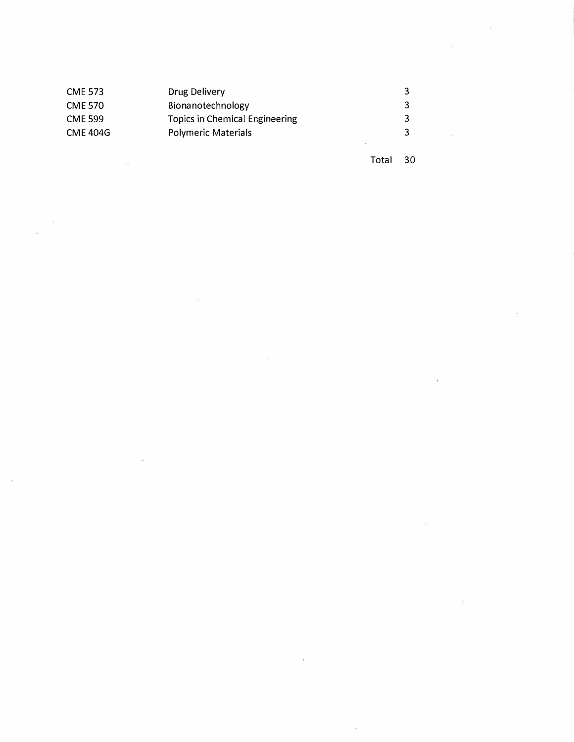| <b>CME 573</b>  | Drug Delivery                  | ર |                                  |
|-----------------|--------------------------------|---|----------------------------------|
| <b>CME 570</b>  | Bionanotechnology              |   |                                  |
| <b>CME 599</b>  | Topics in Chemical Engineering | 3 |                                  |
| <b>CME 404G</b> | <b>Polymeric Materials</b>     |   | $\overline{1}$ in $\overline{1}$ |
|                 |                                |   |                                  |

 $\sim 100$  m  $^{-1}$ 

 $\sim$   $\kappa$ 

 $\alpha$ 

 $\sim$   $\sim$ 

 $\tilde{\omega}$ 

 $\tilde{\kappa}$ 

Total 30

 $\sim$ 

 $\sim$  45  $^\circ$ 

 $\sim$ 

 $\sim$   $\sim$ 

 $\hat{\mathcal{R}}$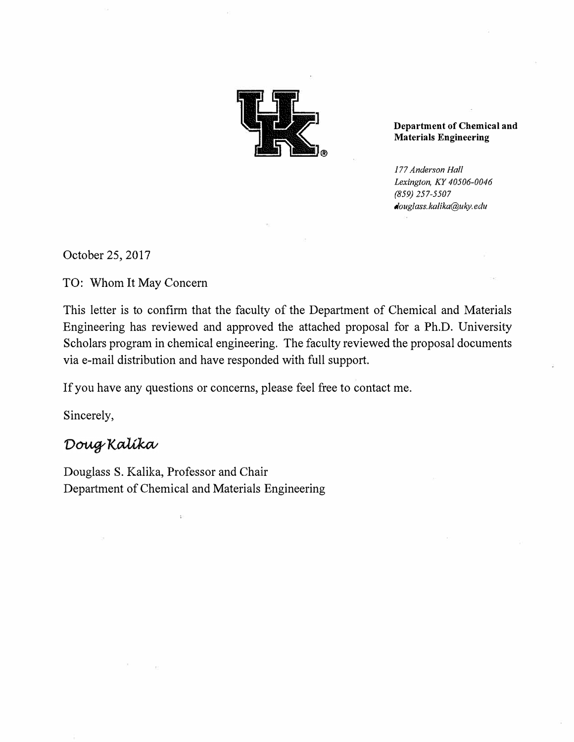

**Department of Chemical and Materials Engineering** 

*177 Anderson Hall Lexington, KY 40506-0046 (859) 257-5507 douglass.kalika@uky.edu* 

October 25, 2017

TO: Whom It May Concern

This letter is to confirm that the faculty of the Department of Chemical and Materials Engineering has reviewed and approved the attached proposal for a Ph.D. University Scholars program in chemical engineering. The faculty reviewed the proposal documents via e-mail distribution and have responded with full support.

If you have any questions or concerns, please feel free to contact me.

Sincerely,

# Doug Kalika

Douglass S. Kalika, Professor and Chair Department of Chemical and Materials Engineering